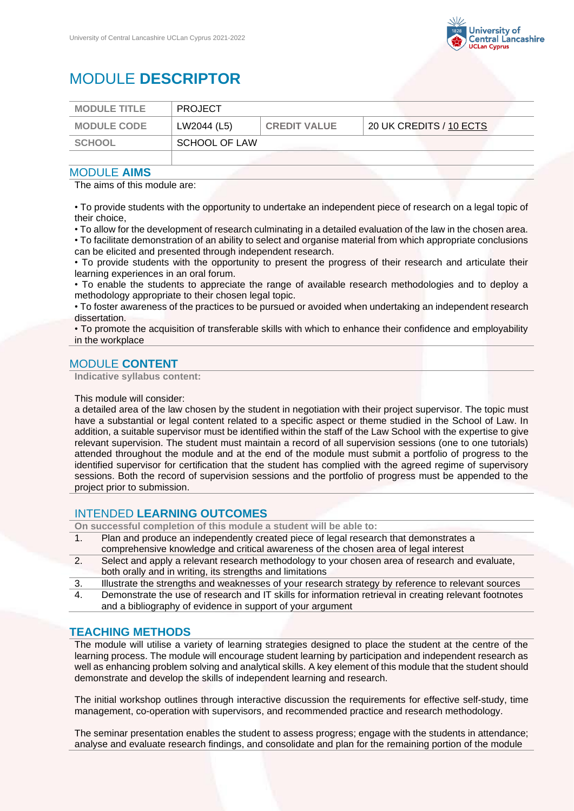

# MODULE **DESCRIPTOR**

| <b>MODULE TITLE</b> | <b>PROJECT</b>       |                     |                                               |
|---------------------|----------------------|---------------------|-----------------------------------------------|
| <b>MODULE CODE</b>  | LW2044 (L5)          | <b>CREDIT VALUE</b> | $^{\circ}$ 20 UK CREDITS / 10 ECTS $^{\circ}$ |
| SCHOOL              | <b>SCHOOL OF LAW</b> |                     |                                               |
|                     |                      |                     |                                               |

#### MODULE **AIMS**

The aims of this module are:

• To provide students with the opportunity to undertake an independent piece of research on a legal topic of their choice,

• To allow for the development of research culminating in a detailed evaluation of the law in the chosen area. • To facilitate demonstration of an ability to select and organise material from which appropriate conclusions can be elicited and presented through independent research.

• To provide students with the opportunity to present the progress of their research and articulate their learning experiences in an oral forum.

• To enable the students to appreciate the range of available research methodologies and to deploy a methodology appropriate to their chosen legal topic.

• To foster awareness of the practices to be pursued or avoided when undertaking an independent research dissertation.

• To promote the acquisition of transferable skills with which to enhance their confidence and employability in the workplace

## MODULE **CONTENT**

**Indicative syllabus content:**

This module will consider:

a detailed area of the law chosen by the student in negotiation with their project supervisor. The topic must have a substantial or legal content related to a specific aspect or theme studied in the School of Law. In addition, a suitable supervisor must be identified within the staff of the Law School with the expertise to give relevant supervision. The student must maintain a record of all supervision sessions (one to one tutorials) attended throughout the module and at the end of the module must submit a portfolio of progress to the identified supervisor for certification that the student has complied with the agreed regime of supervisory sessions. Both the record of supervision sessions and the portfolio of progress must be appended to the project prior to submission.

## INTENDED **LEARNING OUTCOMES**

**On successful completion of this module a student will be able to:**

- 1. Plan and produce an independently created piece of legal research that demonstrates a comprehensive knowledge and critical awareness of the chosen area of legal interest
- 2. Select and apply a relevant research methodology to your chosen area of research and evaluate, both orally and in writing, its strengths and limitations
- 3. Illustrate the strengths and weaknesses of your research strategy by reference to relevant sources
- 4. Demonstrate the use of research and IT skills for information retrieval in creating relevant footnotes and a bibliography of evidence in support of your argument

### **TEACHING METHODS**

The module will utilise a variety of learning strategies designed to place the student at the centre of the learning process. The module will encourage student learning by participation and independent research as well as enhancing problem solving and analytical skills. A key element of this module that the student should demonstrate and develop the skills of independent learning and research.

The initial workshop outlines through interactive discussion the requirements for effective self-study, time management, co-operation with supervisors, and recommended practice and research methodology.

The seminar presentation enables the student to assess progress; engage with the students in attendance; analyse and evaluate research findings, and consolidate and plan for the remaining portion of the module